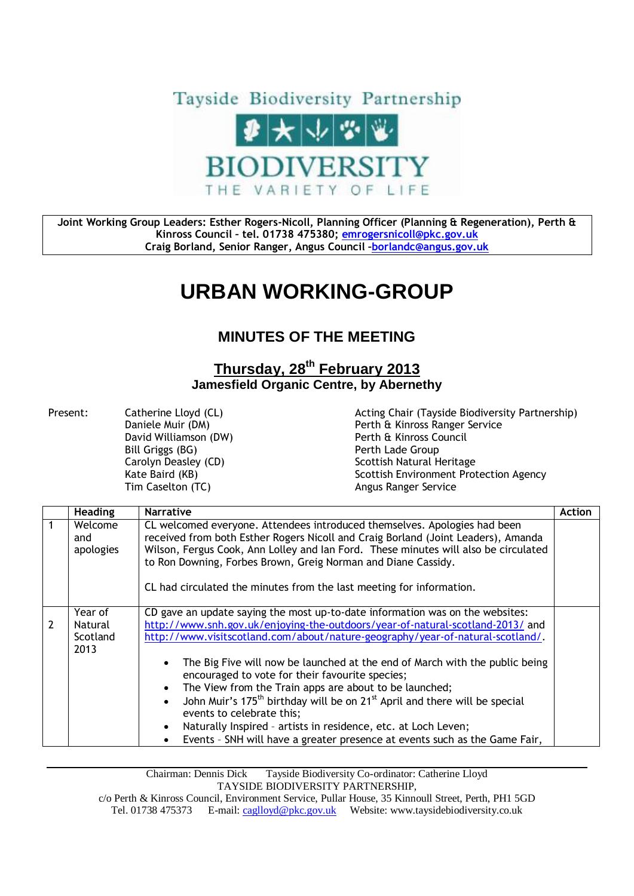

**Joint Working Group Leaders: Esther Rogers-Nicoll, Planning Officer (Planning & Regeneration), Perth & Kinross Council – tel. 01738 475380; [emrogersnicoll@pkc.gov.uk](mailto:emrogersnicoll@pkc.gov.uk) Craig Borland, Senior Ranger, Angus Council –[borlandc@angus.gov.uk](mailto:borlandc@angus.gov.uk)**

## **URBAN WORKING-GROUP**

## **MINUTES OF THE MEETING**

## **Thursday, 28th February 2013 Jamesfield Organic Centre, by Abernethy**

Bill Griggs (BG) **Perth Lade Group** Tim Caselton (TC) and the Casel Control of Angus Ranger Service

Present: Catherine Lloyd (CL) Acting Chair (Tayside Biodiversity Partnership) Perth & Kinross Ranger Service David Williamson (DW) Perth & Kinross Council Carolyn Deasley (CD) Scottish Natural Heritage Kate Baird (KB) The Scottish Environment Protection Agency

| <b>Heading</b>                         | <b>Narrative</b>                                                                                                                                                                                                                                                                                                                                                                                                                                                                                                                                                                                                                                                                                                                                                                                  | <b>Action</b> |
|----------------------------------------|---------------------------------------------------------------------------------------------------------------------------------------------------------------------------------------------------------------------------------------------------------------------------------------------------------------------------------------------------------------------------------------------------------------------------------------------------------------------------------------------------------------------------------------------------------------------------------------------------------------------------------------------------------------------------------------------------------------------------------------------------------------------------------------------------|---------------|
| Welcome<br>and<br>apologies            | CL welcomed everyone. Attendees introduced themselves. Apologies had been<br>received from both Esther Rogers Nicoll and Craig Borland (Joint Leaders), Amanda<br>Wilson, Fergus Cook, Ann Lolley and Ian Ford. These minutes will also be circulated<br>to Ron Downing, Forbes Brown, Greig Norman and Diane Cassidy.<br>CL had circulated the minutes from the last meeting for information.                                                                                                                                                                                                                                                                                                                                                                                                    |               |
| Year of<br>Natural<br>Scotland<br>2013 | CD gave an update saying the most up-to-date information was on the websites:<br>http://www.snh.gov.uk/enjoying-the-outdoors/year-of-natural-scotland-2013/ and<br>http://www.visitscotland.com/about/nature-geography/year-of-natural-scotland/.<br>The Big Five will now be launched at the end of March with the public being<br>$\bullet$<br>encouraged to vote for their favourite species;<br>The View from the Train apps are about to be launched;<br>$\bullet$<br>John Muir's 175 <sup>th</sup> birthday will be on 21 <sup>st</sup> April and there will be special<br>$\bullet$<br>events to celebrate this;<br>Naturally Inspired - artists in residence, etc. at Loch Leven;<br>$\bullet$<br>Events - SNH will have a greater presence at events such as the Game Fair,<br>$\bullet$ |               |

Chairman: Dennis Dick Tayside Biodiversity Co-ordinator: Catherine Lloyd TAYSIDE BIODIVERSITY PARTNERSHIP,

c/o Perth & Kinross Council, Environment Service, Pullar House, 35 Kinnoull Street, Perth, PH1 5GD Tel. 01738 475373 E-mail[: caglloyd@pkc.gov.uk](mailto:caglloyd@pkc.gov.uk) Website: www.taysidebiodiversity.co.uk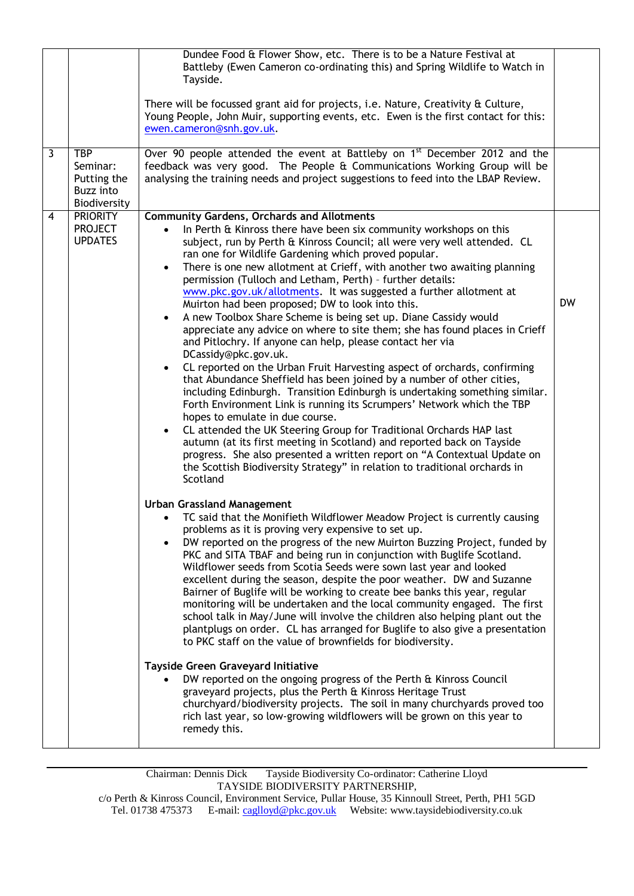| $\overline{3}$ | <b>TBP</b><br>Seminar:<br>Putting the<br><b>Buzz</b> into<br>Biodiversity | Dundee Food & Flower Show, etc. There is to be a Nature Festival at<br>Battleby (Ewen Cameron co-ordinating this) and Spring Wildlife to Watch in<br>Tayside.<br>There will be focussed grant aid for projects, i.e. Nature, Creativity & Culture,<br>Young People, John Muir, supporting events, etc. Ewen is the first contact for this:<br>ewen.cameron@snh.gov.uk.<br>Over 90 people attended the event at Battleby on 1 <sup>st</sup> December 2012 and the<br>feedback was very good. The People & Communications Working Group will be<br>analysing the training needs and project suggestions to feed into the LBAP Review.                                                                                                                                                                                                                                                                                                                                                                                                                                                                                                                                                                                                                                                                                                                                                                                                                                                                                                                                                                                                                                                                                                                                                                                                                                                                                                                                                                                                                                                                                                                                                                                                                                                                                                                                                                                                                                                                                                                                                                                                                                                                                         |           |
|----------------|---------------------------------------------------------------------------|-----------------------------------------------------------------------------------------------------------------------------------------------------------------------------------------------------------------------------------------------------------------------------------------------------------------------------------------------------------------------------------------------------------------------------------------------------------------------------------------------------------------------------------------------------------------------------------------------------------------------------------------------------------------------------------------------------------------------------------------------------------------------------------------------------------------------------------------------------------------------------------------------------------------------------------------------------------------------------------------------------------------------------------------------------------------------------------------------------------------------------------------------------------------------------------------------------------------------------------------------------------------------------------------------------------------------------------------------------------------------------------------------------------------------------------------------------------------------------------------------------------------------------------------------------------------------------------------------------------------------------------------------------------------------------------------------------------------------------------------------------------------------------------------------------------------------------------------------------------------------------------------------------------------------------------------------------------------------------------------------------------------------------------------------------------------------------------------------------------------------------------------------------------------------------------------------------------------------------------------------------------------------------------------------------------------------------------------------------------------------------------------------------------------------------------------------------------------------------------------------------------------------------------------------------------------------------------------------------------------------------------------------------------------------------------------------------------------------------|-----------|
| $\overline{4}$ | <b>PRIORITY</b><br><b>PROJECT</b><br><b>UPDATES</b>                       | <b>Community Gardens, Orchards and Allotments</b><br>In Perth & Kinross there have been six community workshops on this<br>$\bullet$<br>subject, run by Perth & Kinross Council; all were very well attended. CL<br>ran one for Wildlife Gardening which proved popular.<br>There is one new allotment at Crieff, with another two awaiting planning<br>$\bullet$<br>permission (Tulloch and Letham, Perth) - further details:<br>www.pkc.gov.uk/allotments. It was suggested a further allotment at<br>Muirton had been proposed; DW to look into this.<br>A new Toolbox Share Scheme is being set up. Diane Cassidy would<br>$\bullet$<br>appreciate any advice on where to site them; she has found places in Crieff<br>and Pitlochry. If anyone can help, please contact her via<br>DCassidy@pkc.gov.uk.<br>CL reported on the Urban Fruit Harvesting aspect of orchards, confirming<br>$\bullet$<br>that Abundance Sheffield has been joined by a number of other cities,<br>including Edinburgh. Transition Edinburgh is undertaking something similar.<br>Forth Environment Link is running its Scrumpers' Network which the TBP<br>hopes to emulate in due course.<br>CL attended the UK Steering Group for Traditional Orchards HAP last<br>autumn (at its first meeting in Scotland) and reported back on Tayside<br>progress. She also presented a written report on "A Contextual Update on<br>the Scottish Biodiversity Strategy" in relation to traditional orchards in<br>Scotland<br><b>Urban Grassland Management</b><br>• TC said that the Monifieth Wildflower Meadow Project is currently causing<br>problems as it is proving very expensive to set up.<br>DW reported on the progress of the new Muirton Buzzing Project, funded by<br>PKC and SITA TBAF and being run in conjunction with Buglife Scotland.<br>Wildflower seeds from Scotia Seeds were sown last year and looked<br>excellent during the season, despite the poor weather. DW and Suzanne<br>Bairner of Buglife will be working to create bee banks this year, regular<br>monitoring will be undertaken and the local community engaged. The first<br>school talk in May/June will involve the children also helping plant out the<br>plantplugs on order. CL has arranged for Buglife to also give a presentation<br>to PKC staff on the value of brownfields for biodiversity.<br>Tayside Green Graveyard Initiative<br>DW reported on the ongoing progress of the Perth & Kinross Council<br>graveyard projects, plus the Perth & Kinross Heritage Trust<br>churchyard/biodiversity projects. The soil in many churchyards proved too<br>rich last year, so low-growing wildflowers will be grown on this year to<br>remedy this. | <b>DW</b> |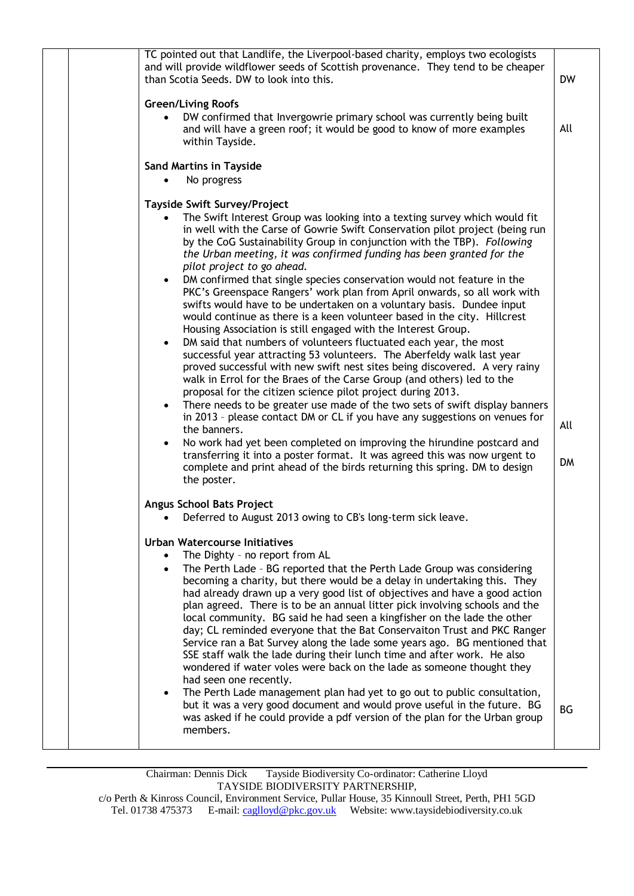| TC pointed out that Landlife, the Liverpool-based charity, employs two ecologists<br>and will provide wildflower seeds of Scottish provenance. They tend to be cheaper<br>than Scotia Seeds. DW to look into this.                                                                                                                                                                                                                                                                                                                                                                                                                                                                                                                                                                                                                                                                                                                                                                                                                                                                                                                                                                                                                                                                                                                                                                                                                                                                                                                                                                                            | <b>DW</b>        |
|---------------------------------------------------------------------------------------------------------------------------------------------------------------------------------------------------------------------------------------------------------------------------------------------------------------------------------------------------------------------------------------------------------------------------------------------------------------------------------------------------------------------------------------------------------------------------------------------------------------------------------------------------------------------------------------------------------------------------------------------------------------------------------------------------------------------------------------------------------------------------------------------------------------------------------------------------------------------------------------------------------------------------------------------------------------------------------------------------------------------------------------------------------------------------------------------------------------------------------------------------------------------------------------------------------------------------------------------------------------------------------------------------------------------------------------------------------------------------------------------------------------------------------------------------------------------------------------------------------------|------------------|
| <b>Green/Living Roofs</b><br>DW confirmed that Invergowrie primary school was currently being built<br>and will have a green roof; it would be good to know of more examples<br>within Tayside.                                                                                                                                                                                                                                                                                                                                                                                                                                                                                                                                                                                                                                                                                                                                                                                                                                                                                                                                                                                                                                                                                                                                                                                                                                                                                                                                                                                                               | All              |
| <b>Sand Martins in Tayside</b><br>No progress                                                                                                                                                                                                                                                                                                                                                                                                                                                                                                                                                                                                                                                                                                                                                                                                                                                                                                                                                                                                                                                                                                                                                                                                                                                                                                                                                                                                                                                                                                                                                                 |                  |
| <b>Tayside Swift Survey/Project</b><br>The Swift Interest Group was looking into a texting survey which would fit<br>in well with the Carse of Gowrie Swift Conservation pilot project (being run<br>by the CoG Sustainability Group in conjunction with the TBP). Following<br>the Urban meeting, it was confirmed funding has been granted for the<br>pilot project to go ahead.<br>DM confirmed that single species conservation would not feature in the<br>PKC's Greenspace Rangers' work plan from April onwards, so all work with<br>swifts would have to be undertaken on a voluntary basis. Dundee input<br>would continue as there is a keen volunteer based in the city. Hillcrest<br>Housing Association is still engaged with the Interest Group.<br>DM said that numbers of volunteers fluctuated each year, the most<br>$\bullet$<br>successful year attracting 53 volunteers. The Aberfeldy walk last year<br>proved successful with new swift nest sites being discovered. A very rainy<br>walk in Errol for the Braes of the Carse Group (and others) led to the<br>proposal for the citizen science pilot project during 2013.<br>There needs to be greater use made of the two sets of swift display banners<br>$\bullet$<br>in 2013 - please contact DM or CL if you have any suggestions on venues for<br>the banners.<br>No work had yet been completed on improving the hirundine postcard and<br>$\bullet$<br>transferring it into a poster format. It was agreed this was now urgent to<br>complete and print ahead of the birds returning this spring. DM to design<br>the poster. | All<br><b>DM</b> |
| <b>Angus School Bats Project</b><br>Deferred to August 2013 owing to CB's long-term sick leave.                                                                                                                                                                                                                                                                                                                                                                                                                                                                                                                                                                                                                                                                                                                                                                                                                                                                                                                                                                                                                                                                                                                                                                                                                                                                                                                                                                                                                                                                                                               |                  |
| <b>Urban Watercourse Initiatives</b><br>The Dighty - no report from AL<br>The Perth Lade - BG reported that the Perth Lade Group was considering<br>becoming a charity, but there would be a delay in undertaking this. They<br>had already drawn up a very good list of objectives and have a good action<br>plan agreed. There is to be an annual litter pick involving schools and the<br>local community. BG said he had seen a kingfisher on the lade the other<br>day; CL reminded everyone that the Bat Conservaiton Trust and PKC Ranger<br>Service ran a Bat Survey along the lade some years ago. BG mentioned that<br>SSE staff walk the lade during their lunch time and after work. He also<br>wondered if water voles were back on the lade as someone thought they<br>had seen one recently.                                                                                                                                                                                                                                                                                                                                                                                                                                                                                                                                                                                                                                                                                                                                                                                                   |                  |
| The Perth Lade management plan had yet to go out to public consultation,<br>but it was a very good document and would prove useful in the future. BG<br>was asked if he could provide a pdf version of the plan for the Urban group<br>members.                                                                                                                                                                                                                                                                                                                                                                                                                                                                                                                                                                                                                                                                                                                                                                                                                                                                                                                                                                                                                                                                                                                                                                                                                                                                                                                                                               | <b>BG</b>        |
|                                                                                                                                                                                                                                                                                                                                                                                                                                                                                                                                                                                                                                                                                                                                                                                                                                                                                                                                                                                                                                                                                                                                                                                                                                                                                                                                                                                                                                                                                                                                                                                                               |                  |

Chairman: Dennis Dick Tayside Biodiversity Co-ordinator: Catherine Lloyd TAYSIDE BIODIVERSITY PARTNERSHIP, c/o Perth & Kinross Council, Environment Service, Pullar House, 35 Kinnoull Street, Perth, PH1 5GD

Tel. 01738 475373 E-mail[: caglloyd@pkc.gov.uk](mailto:caglloyd@pkc.gov.uk) Website: www.taysidebiodiversity.co.uk